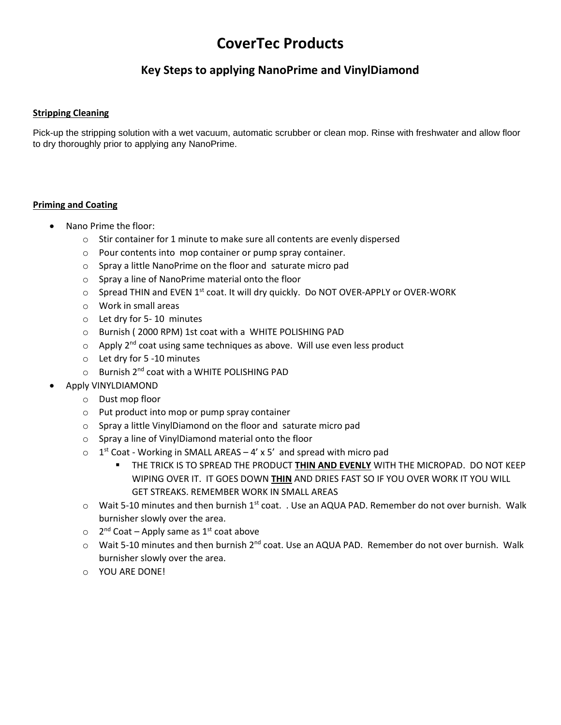## **CoverTec Products**

## **Key Steps to applying NanoPrime and VinylDiamond**

## **Stripping Cleaning**

Pick-up the stripping solution with a wet vacuum, automatic scrubber or clean mop. Rinse with freshwater and allow floor to dry thoroughly prior to applying any NanoPrime.

## **Priming and Coating**

- Nano Prime the floor:
	- o Stir container for 1 minute to make sure all contents are evenly dispersed
	- o Pour contents into mop container or pump spray container.
	- o Spray a little NanoPrime on the floor and saturate micro pad
	- o Spray a line of NanoPrime material onto the floor
	- o Spread THIN and EVEN 1<sup>st</sup> coat. It will dry quickly. Do NOT OVER-APPLY or OVER-WORK
	- o Work in small areas
	- o Let dry for 5- 10 minutes
	- o Burnish ( 2000 RPM) 1st coat with a WHITE POLISHING PAD
	- $\circ$  Apply 2<sup>nd</sup> coat using same techniques as above. Will use even less product
	- o Let dry for 5 -10 minutes
	- $\circ$  Burnish 2<sup>nd</sup> coat with a WHITE POLISHING PAD
- Apply VINYLDIAMOND
	- o Dust mop floor
	- o Put product into mop or pump spray container
	- o Spray a little VinylDiamond on the floor and saturate micro pad
	- o Spray a line of VinylDiamond material onto the floor
	- $\circ$  1<sup>st</sup> Coat Working in SMALL AREAS 4' x 5' and spread with micro pad
		- THE TRICK IS TO SPREAD THE PRODUCT **THIN AND EVENLY** WITH THE MICROPAD. DO NOT KEEP WIPING OVER IT. IT GOES DOWN **THIN** AND DRIES FAST SO IF YOU OVER WORK IT YOU WILL GET STREAKS. REMEMBER WORK IN SMALL AREAS
	- $\circ$  Wait 5-10 minutes and then burnish 1st coat. . Use an AQUA PAD. Remember do not over burnish. Walk burnisher slowly over the area.
	- $\circ$  2<sup>nd</sup> Coat Apply same as 1<sup>st</sup> coat above
	- $\circ$  Wait 5-10 minutes and then burnish 2<sup>nd</sup> coat. Use an AQUA PAD. Remember do not over burnish. Walk burnisher slowly over the area.
	- o YOU ARE DONE!